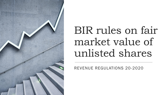

# BIR rules on fair market value of unlisted shares

REVENUE REGULATIONS 20-2020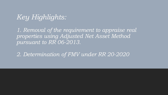#### *Key Highlights:*

*1. Removal of the requirement to appraise real properties using Adjusted Net Asset Method pursuant to RR 06-2013.*

*2. Determination of FMV under RR 20-2020*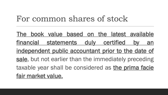### For common shares of stock

The book value based on the latest available financial statements duly certified by an independent public accountant prior to the date of sale, but not earlier than the immediately preceding taxable year shall be considered as the prima facie fair market value.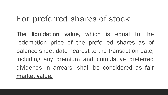# For preferred shares of stock

The liquidation value, which is equal to the redemption price of the preferred shares as of balance sheet date nearest to the transaction date, including any premium and cumulative preferred dividends in arrears, shall be considered as fair market value.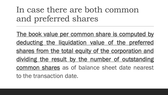# In case there are both common and preferred shares

The book value per common share is computed by deducting the liquidation value of the preferred shares from the total equity of the corporation and dividing the result by the number of outstanding common shares as of balance sheet date nearest to the transaction date.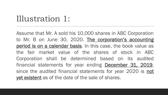### Illustration 1:

Assume that Mr. A sold his 10,000 shares in ABC Corporation to Mr. B on June 30, 2020. The corporation's accounting period is on a calendar basis. In this case, the book value as the fair market value of the shares of stock in ABC Corporation shall be determined based on its audited financial statements for year ending **December 31, 2019**, since the audited financial statements for year 2020 is not yet existent as of the date of the sale of shares.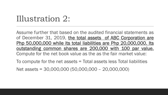## Illustration 2:

Assume further that based on the audited financial statements as of December 31, 2019, the total assets of ABC Corporation are Php 50,000,000 while its total liabilities are Php 20,000,000. Its outstanding common shares are 200,000 with 100 par value. Compute for the net book value as the as the fair market value:

To compute for the net assets = Total assets less Total liabilities

Net assets = 30,000,000 (50,000,000 – 20,000,000)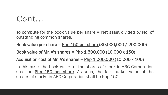#### Cont…

To compute for the book value per share = Net asset divided by No. of outstanding common shares.

Book value per share = Php 150 per share (30,000,000 / 200,000)

Book value of Mr. A's shares =  $Php 1,500,000 (10,000 x 150)$ 

Acquisition cost of Mr. A's shares =  $Php 1,000,000 (10,000 x 100)$ 

In this case, the book value of the shares of stock in ABC Corporation shall be **Php 150 per share**. As such, the fair market value of the shares of stocks in ABC Corporation shall be Php 150.